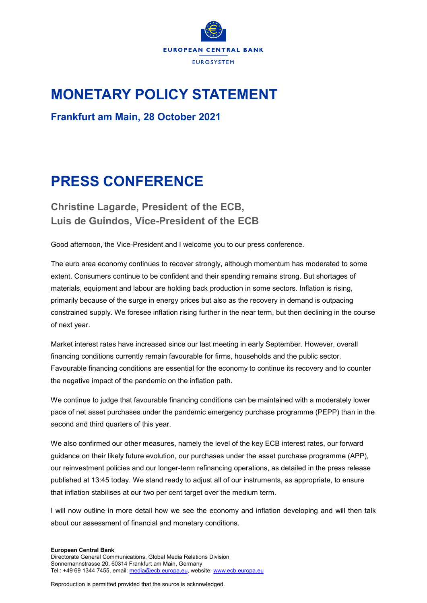

## **MONETARY POLICY STATEMENT**

**Frankfurt am Main, 28 October 2021**

# **PRESS CONFERENCE**

#### **Christine Lagarde, President of the ECB, Luis de Guindos, Vice-President of the ECB**

Good afternoon, the Vice-President and I welcome you to our press conference.

The euro area economy continues to recover strongly, although momentum has moderated to some extent. Consumers continue to be confident and their spending remains strong. But shortages of materials, equipment and labour are holding back production in some sectors. Inflation is rising, primarily because of the surge in energy prices but also as the recovery in demand is outpacing constrained supply. We foresee inflation rising further in the near term, but then declining in the course of next year.

Market interest rates have increased since our last meeting in early September. However, overall financing conditions currently remain favourable for firms, households and the public sector. Favourable financing conditions are essential for the economy to continue its recovery and to counter the negative impact of the pandemic on the inflation path.

We continue to judge that favourable financing conditions can be maintained with a moderately lower pace of net asset purchases under the pandemic emergency purchase programme (PEPP) than in the second and third quarters of this year.

We also confirmed our other measures, namely the level of the key ECB interest rates, our forward guidance on their likely future evolution, our purchases under the asset purchase programme (APP), our reinvestment policies and our longer-term refinancing operations, as detailed in the press release published at 13:45 today. We stand ready to adjust all of our instruments, as appropriate, to ensure that inflation stabilises at our two per cent target over the medium term.

I will now outline in more detail how we see the economy and inflation developing and will then talk about our assessment of financial and monetary conditions.

#### **European Central Bank**

Directorate General Communications, Global Media Relations Division Sonnemannstrasse 20, 60314 Frankfurt am Main, Germany Tel.: +49 69 1344 7455, email[: media@ecb.europa.eu,](mailto:media@ecb.europa.eu) website[: www.ecb.europa.eu](http://www.ecb.europa.eu/)

Reproduction is permitted provided that the source is acknowledged.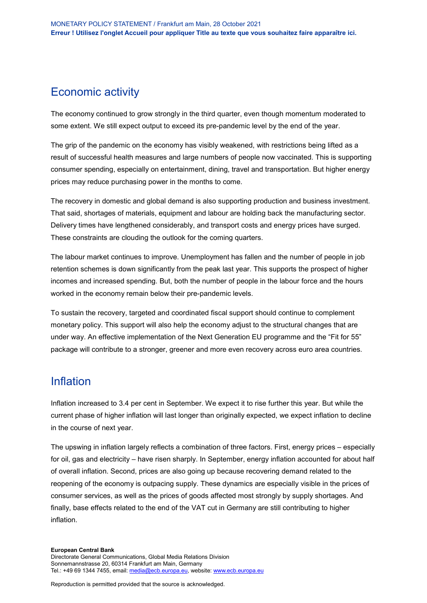### Economic activity

The economy continued to grow strongly in the third quarter, even though momentum moderated to some extent. We still expect output to exceed its pre-pandemic level by the end of the year.

The grip of the pandemic on the economy has visibly weakened, with restrictions being lifted as a result of successful health measures and large numbers of people now vaccinated. This is supporting consumer spending, especially on entertainment, dining, travel and transportation. But higher energy prices may reduce purchasing power in the months to come.

The recovery in domestic and global demand is also supporting production and business investment. That said, shortages of materials, equipment and labour are holding back the manufacturing sector. Delivery times have lengthened considerably, and transport costs and energy prices have surged. These constraints are clouding the outlook for the coming quarters.

The labour market continues to improve. Unemployment has fallen and the number of people in job retention schemes is down significantly from the peak last year. This supports the prospect of higher incomes and increased spending. But, both the number of people in the labour force and the hours worked in the economy remain below their pre-pandemic levels.

To sustain the recovery, targeted and coordinated fiscal support should continue to complement monetary policy. This support will also help the economy adjust to the structural changes that are under way. An effective implementation of the Next Generation EU programme and the "Fit for 55" package will contribute to a stronger, greener and more even recovery across euro area countries.

### Inflation

Inflation increased to 3.4 per cent in September. We expect it to rise further this year. But while the current phase of higher inflation will last longer than originally expected, we expect inflation to decline in the course of next year.

The upswing in inflation largely reflects a combination of three factors. First, energy prices – especially for oil, gas and electricity – have risen sharply. In September, energy inflation accounted for about half of overall inflation. Second, prices are also going up because recovering demand related to the reopening of the economy is outpacing supply. These dynamics are especially visible in the prices of consumer services, as well as the prices of goods affected most strongly by supply shortages. And finally, base effects related to the end of the VAT cut in Germany are still contributing to higher inflation.

#### **European Central Bank**

Reproduction is permitted provided that the source is acknowledged.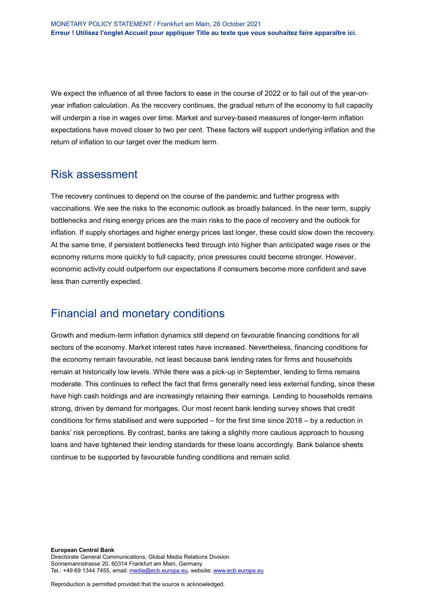We expect the influence of all three factors to ease in the course of 2022 or to fall out of the year-onyear inflation calculation. As the recovery continues, the gradual return of the economy to full capacity will underpin a rise in wages over time. Market and survey-based measures of longer-term inflation expectations have moved closer to two per cent. These factors will support underlying inflation and the return of inflation to our target over the medium term.

#### Risk assessment

The recovery continues to depend on the course of the pandemic and further progress with vaccinations. We see the risks to the economic outlook as broadly balanced. In the near term, supply bottlenecks and rising energy prices are the main risks to the pace of recovery and the outlook for inflation. If supply shortages and higher energy prices last longer, these could slow down the recovery. At the same time, if persistent bottlenecks feed through into higher than anticipated wage rises or the economy returns more quickly to full capacity, price pressures could become stronger. However, economic activity could outperform our expectations if consumers become more confident and save less than currently expected.

### Financial and monetary conditions

Growth and medium-term inflation dynamics still depend on favourable financing conditions for all sectors of the economy. Market interest rates have increased. Nevertheless, financing conditions for the economy remain favourable, not least because bank lending rates for firms and households remain at historically low levels. While there was a pick-up in September, lending to firms remains moderate. This continues to reflect the fact that firms generally need less external funding, since these have high cash holdings and are increasingly retaining their earnings. Lending to households remains strong, driven by demand for mortgages. Our most recent bank lending survey shows that credit conditions for firms stabilised and were supported – for the first time since 2018 – by a reduction in banks' risk perceptions. By contrast, banks are taking a slightly more cautious approach to housing loans and have tightened their lending standards for these loans accordingly. Bank balance sheets continue to be supported by favourable funding conditions and remain solid.

Reproduction is permitted provided that the source is acknowledged.